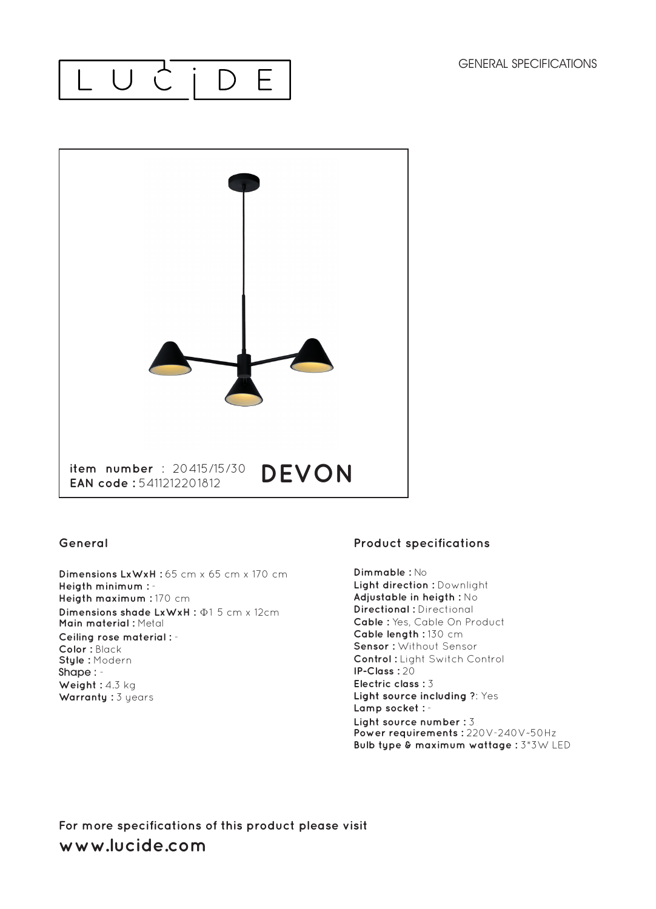#### LUC  $\Box$ E



#### **General**

Dimensions LxWxH: 65 cm x 65 cm x 170 cm **Heigth minimum :** - **Heigth maximum :** 170 cm **Dimensions shade LxWxH :** Φ1 5 cm x 12cm **Main material :** Metal **Ceiling rose material :** - **Color :** Black **Style :** Modern Shape : - Weight : 4.3 kg **Warranty :** 3 years

### **Product specifications**

**Dimmable :** No **Light direction : Downlight Adjustable in heigth :** No **Directional :** Directional **Cable :** Yes, Cable On Product **Cable length :** 130 cm **Sensor :** Without Sensor **Control :** Light Switch Control **IP-Class :** 20 **Electric class :** 3 **Light source including ?: Yes Lamp socket :** - **Light source number :** 3 **Power requirements :** 220V-240V~50Hz **Bulb type & maximum wattage :** 3\*3W LED

**For more specifications of this product please visit www.lucide.com**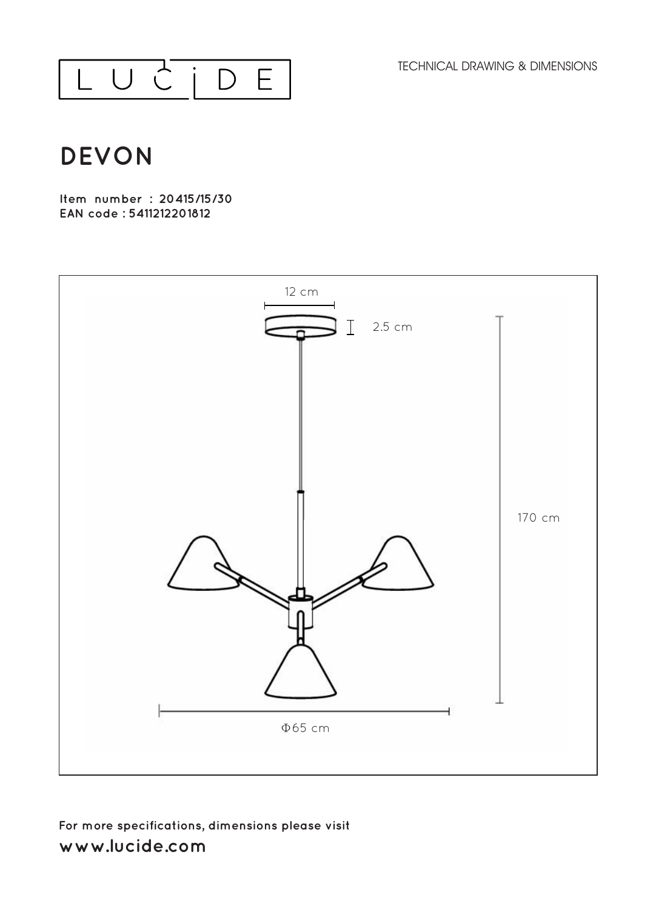TECHNICAL DRAWING & DIMENSIONS



# **DEVON**

**Item number : 20415/15/30 EAN code : 5411212201812**



## **For more specifications, dimensions please visit**  www.lucide.com